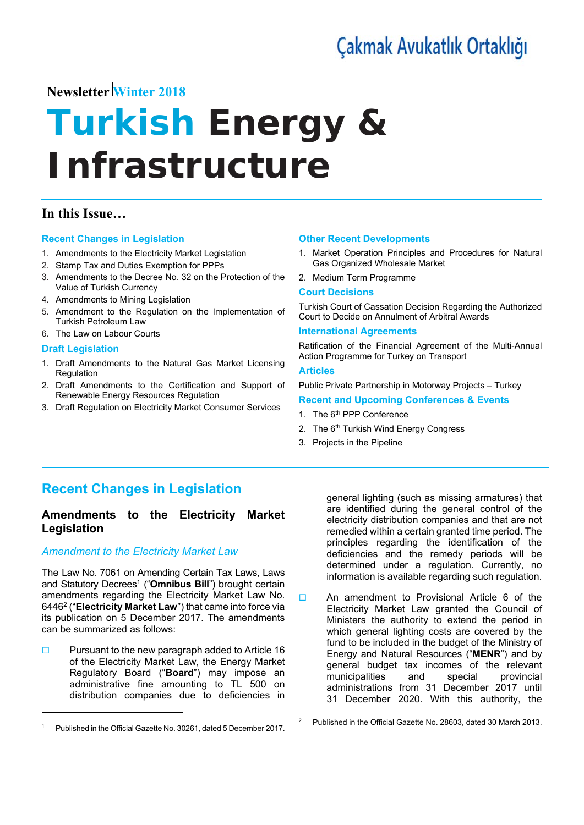# **Newsletter Winter 2018**

# **Turkish Energy** *&*  **Infrastructure**

## **In this Issue…**

#### **Recent Changes in Legislation**

- 1. Amendments to the Electricity Market Legislation
- 2. Stamp Tax and Duties Exemption for PPPs
- 3. Amendments to the Decree No. 32 on the Protection of the Value of Turkish Currency
- 4. Amendments to Mining Legislation
- 5. Amendment to the Regulation on the Implementation of Turkish Petroleum Law
- 6. The Law on Labour Courts

#### **Draft Legislation**

- 1. Draft Amendments to the Natural Gas Market Licensing **Regulation**
- 2. Draft Amendments to the Certification and Support of Renewable Energy Resources Regulation
- 3. Draft Regulation on Electricity Market Consumer Services

#### **Other Recent Developments**

- 1. Market Operation Principles and Procedures for Natural Gas Organized Wholesale Market
- 2. Medium Term Programme

#### **Court Decisions**

Turkish Court of Cassation Decision Regarding the Authorized Court to Decide on Annulment of Arbitral Awards

#### **International Agreements**

Ratification of the Financial Agreement of the Multi-Annual Action Programme for Turkey on Transport

#### **Articles**

2

Public Private Partnership in Motorway Projects – Turkey

#### **Recent and Upcoming Conferences & Events**

- 1. The 6<sup>th</sup> PPP Conference
- 2. The 6<sup>th</sup> Turkish Wind Energy Congress
- 3. Projects in the Pipeline

# **Recent Changes in Legislation**

#### **Amendments to the Electricity Market Legislation**

#### *Amendment to the Electricity Market Law*

The Law No. 7061 on Amending Certain Tax Laws, Laws and Statutory Decrees<sup>1</sup> ("Omnibus Bill") brought certain amendments regarding the Electricity Market Law No. 64462 ("**Electricity Market Law**") that came into force via its publication on 5 December 2017. The amendments can be summarized as follows:

 $\Box$  Pursuant to the new paragraph added to Article 16 of the Electricity Market Law, the Energy Market Regulatory Board ("**Board**") may impose an administrative fine amounting to TL 500 on distribution companies due to deficiencies in

general lighting (such as missing armatures) that are identified during the general control of the electricity distribution companies and that are not remedied within a certain granted time period. The principles regarding the identification of the deficiencies and the remedy periods will be determined under a regulation. Currently, no information is available regarding such regulation.

□ An amendment to Provisional Article 6 of the Electricity Market Law granted the Council of Ministers the authority to extend the period in which general lighting costs are covered by the fund to be included in the budget of the Ministry of Energy and Natural Resources ("**MENR**") and by general budget tax incomes of the relevant municipalities and special provincial administrations from 31 December 2017 until 31 December 2020. With this authority, the

<sup>1</sup> Published in the Official Gazette No. 30261, dated 5 December 2017.

Published in the Official Gazette No. 28603, dated 30 March 2013.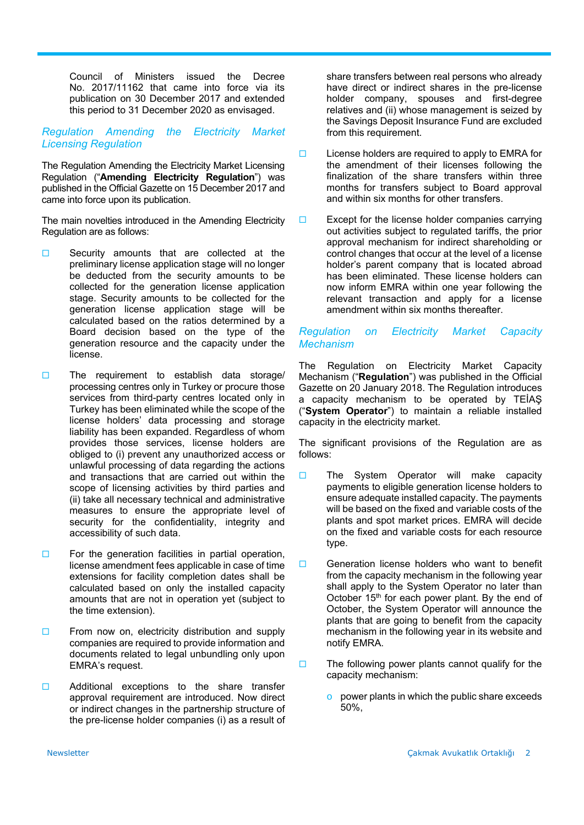Council of Ministers issued the Decree No. 2017/11162 that came into force via its publication on 30 December 2017 and extended this period to 31 December 2020 as envisaged.

#### *Regulation Amending the Electricity Market Licensing Regulation*

The Regulation Amending the Electricity Market Licensing Regulation ("**Amending Electricity Regulation**") was published in the Official Gazette on 15 December 2017 and came into force upon its publication.

The main novelties introduced in the Amending Electricity Regulation are as follows:

- $\Box$  Security amounts that are collected at the preliminary license application stage will no longer be deducted from the security amounts to be collected for the generation license application stage. Security amounts to be collected for the generation license application stage will be calculated based on the ratios determined by a Board decision based on the type of the generation resource and the capacity under the license.
- $\Box$  The requirement to establish data storage/ processing centres only in Turkey or procure those services from third-party centres located only in Turkey has been eliminated while the scope of the license holders' data processing and storage liability has been expanded. Regardless of whom provides those services, license holders are obliged to (i) prevent any unauthorized access or unlawful processing of data regarding the actions and transactions that are carried out within the scope of licensing activities by third parties and (ii) take all necessary technical and administrative measures to ensure the appropriate level of security for the confidentiality, integrity and accessibility of such data.
- $\Box$  For the generation facilities in partial operation, license amendment fees applicable in case of time extensions for facility completion dates shall be calculated based on only the installed capacity amounts that are not in operation yet (subject to the time extension).
- $\square$  From now on, electricity distribution and supply companies are required to provide information and documents related to legal unbundling only upon EMRA's request.
- $\Box$  Additional exceptions to the share transfer approval requirement are introduced. Now direct or indirect changes in the partnership structure of the pre-license holder companies (i) as a result of

share transfers between real persons who already have direct or indirect shares in the pre-license holder company, spouses and first-degree relatives and (ii) whose management is seized by the Savings Deposit Insurance Fund are excluded from this requirement.

- $\Box$  License holders are required to apply to EMRA for the amendment of their licenses following the finalization of the share transfers within three months for transfers subject to Board approval and within six months for other transfers.
- $\Box$  Except for the license holder companies carrying out activities subject to regulated tariffs, the prior approval mechanism for indirect shareholding or control changes that occur at the level of a license holder's parent company that is located abroad has been eliminated. These license holders can now inform EMRA within one year following the relevant transaction and apply for a license amendment within six months thereafter.

#### *Regulation on Electricity Market Capacity Mechanism*

The Regulation on Electricity Market Capacity Mechanism ("**Regulation**") was published in the Official Gazette on 20 January 2018. The Regulation introduces a capacity mechanism to be operated by TEİAŞ ("**System Operator**") to maintain a reliable installed capacity in the electricity market.

The significant provisions of the Regulation are as follows:

- $\Box$  The System Operator will make capacity payments to eligible generation license holders to ensure adequate installed capacity. The payments will be based on the fixed and variable costs of the plants and spot market prices. EMRA will decide on the fixed and variable costs for each resource type.
- $\Box$  Generation license holders who want to benefit from the capacity mechanism in the following year shall apply to the System Operator no later than October 15<sup>th</sup> for each power plant. By the end of October, the System Operator will announce the plants that are going to benefit from the capacity mechanism in the following year in its website and notify EMRA.
- $\Box$  The following power plants cannot qualify for the capacity mechanism:
	- o power plants in which the public share exceeds 50%,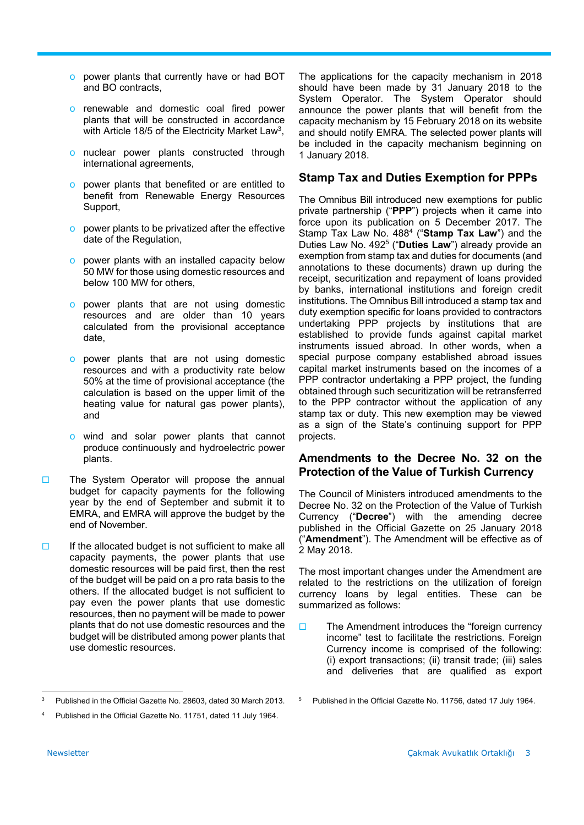- o power plants that currently have or had BOT and BO contracts,
- o renewable and domestic coal fired power plants that will be constructed in accordance with Article 18/5 of the Electricity Market Law<sup>3</sup>,
- o nuclear power plants constructed through international agreements,
- o power plants that benefited or are entitled to benefit from Renewable Energy Resources Support,
- o power plants to be privatized after the effective date of the Regulation,
- o power plants with an installed capacity below 50 MW for those using domestic resources and below 100 MW for others,
- o power plants that are not using domestic resources and are older than 10 years calculated from the provisional acceptance date,
- o power plants that are not using domestic resources and with a productivity rate below 50% at the time of provisional acceptance (the calculation is based on the upper limit of the heating value for natural gas power plants), and
- o wind and solar power plants that cannot produce continuously and hydroelectric power plants.
- The System Operator will propose the annual budget for capacity payments for the following year by the end of September and submit it to EMRA, and EMRA will approve the budget by the end of November.
- $\Box$  If the allocated budget is not sufficient to make all capacity payments, the power plants that use domestic resources will be paid first, then the rest of the budget will be paid on a pro rata basis to the others. If the allocated budget is not sufficient to pay even the power plants that use domestic resources, then no payment will be made to power plants that do not use domestic resources and the budget will be distributed among power plants that use domestic resources.

The applications for the capacity mechanism in 2018 should have been made by 31 January 2018 to the System Operator. The System Operator should announce the power plants that will benefit from the capacity mechanism by 15 February 2018 on its website and should notify EMRA. The selected power plants will be included in the capacity mechanism beginning on 1 January 2018.

#### **Stamp Tax and Duties Exemption for PPPs**

The Omnibus Bill introduced new exemptions for public private partnership ("**PPP**") projects when it came into force upon its publication on 5 December 2017. The Stamp Tax Law No. 4884 ("**Stamp Tax Law**") and the Duties Law No. 4925 ("**Duties Law**") already provide an exemption from stamp tax and duties for documents (and annotations to these documents) drawn up during the receipt, securitization and repayment of loans provided by banks, international institutions and foreign credit institutions. The Omnibus Bill introduced a stamp tax and duty exemption specific for loans provided to contractors undertaking PPP projects by institutions that are established to provide funds against capital market instruments issued abroad. In other words, when a special purpose company established abroad issues capital market instruments based on the incomes of a PPP contractor undertaking a PPP project, the funding obtained through such securitization will be retransferred to the PPP contractor without the application of any stamp tax or duty. This new exemption may be viewed as a sign of the State's continuing support for PPP projects.

#### **Amendments to the Decree No. 32 on the Protection of the Value of Turkish Currency**

The Council of Ministers introduced amendments to the Decree No. 32 on the Protection of the Value of Turkish Currency ("**Decree**") with the amending decree published in the Official Gazette on 25 January 2018 ("**Amendment**"). The Amendment will be effective as of 2 May 2018.

The most important changes under the Amendment are related to the restrictions on the utilization of foreign currency loans by legal entities. These can be summarized as follows:

 $\Box$  The Amendment introduces the "foreign currency" income" test to facilitate the restrictions. Foreign Currency income is comprised of the following: (i) export transactions; (ii) transit trade; (iii) sales and deliveries that are qualified as export

<sup>3</sup> Published in the Official Gazette No. 28603, dated 30 March 2013.

<sup>4</sup> Published in the Official Gazette No. 11751, dated 11 July 1964.

<sup>5</sup> Published in the Official Gazette No. 11756, dated 17 July 1964.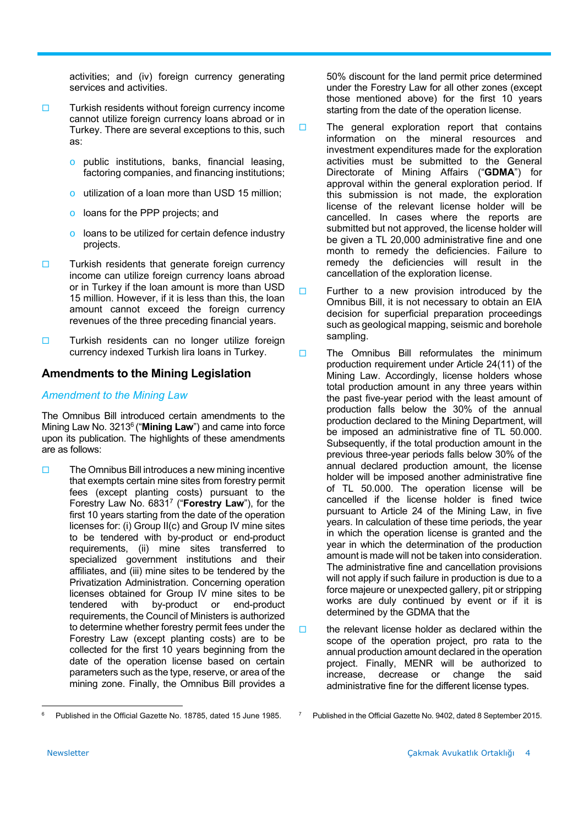activities; and (iv) foreign currency generating services and activities.

- $\Box$  Turkish residents without foreign currency income cannot utilize foreign currency loans abroad or in Turkey. There are several exceptions to this, such as:
	- o public institutions, banks, financial leasing, factoring companies, and financing institutions;
	- o utilization of a loan more than USD 15 million;
	- o loans for the PPP projects; and
	- o loans to be utilized for certain defence industry projects.
- $\square$  Turkish residents that generate foreign currency income can utilize foreign currency loans abroad or in Turkey if the loan amount is more than USD 15 million. However, if it is less than this, the loan amount cannot exceed the foreign currency revenues of the three preceding financial years.
- $\square$  Turkish residents can no longer utilize foreign currency indexed Turkish lira loans in Turkey.

#### **Amendments to the Mining Legislation**

#### *Amendment to the Mining Law*

The Omnibus Bill introduced certain amendments to the Mining Law No. 32136 ("**Mining Law**") and came into force upon its publication. The highlights of these amendments are as follows:

 $\Box$  The Omnibus Bill introduces a new mining incentive that exempts certain mine sites from forestry permit fees (except planting costs) pursuant to the Forestry Law No. 68317 ("**Forestry Law**"), for the first 10 years starting from the date of the operation licenses for: (i) Group II(c) and Group IV mine sites to be tendered with by-product or end-product requirements, (ii) mine sites transferred to specialized government institutions and their affiliates, and (iii) mine sites to be tendered by the Privatization Administration. Concerning operation licenses obtained for Group IV mine sites to be tendered with by-product or end-product requirements, the Council of Ministers is authorized to determine whether forestry permit fees under the Forestry Law (except planting costs) are to be collected for the first 10 years beginning from the date of the operation license based on certain parameters such as the type, reserve, or area of the mining zone. Finally, the Omnibus Bill provides a

50% discount for the land permit price determined under the Forestry Law for all other zones (except those mentioned above) for the first 10 years starting from the date of the operation license.

- $\square$  The general exploration report that contains information on the mineral resources and investment expenditures made for the exploration activities must be submitted to the General Directorate of Mining Affairs ("**GDMA**") for approval within the general exploration period. If this submission is not made, the exploration license of the relevant license holder will be cancelled. In cases where the reports are submitted but not approved, the license holder will be given a TL 20,000 administrative fine and one month to remedy the deficiencies. Failure to remedy the deficiencies will result in the cancellation of the exploration license.
- $\Box$  Further to a new provision introduced by the Omnibus Bill, it is not necessary to obtain an EIA decision for superficial preparation proceedings such as geological mapping, seismic and borehole sampling.
- $\Box$  The Omnibus Bill reformulates the minimum production requirement under Article 24(11) of the Mining Law. Accordingly, license holders whose total production amount in any three years within the past five-year period with the least amount of production falls below the 30% of the annual production declared to the Mining Department, will be imposed an administrative fine of TL 50.000. Subsequently, if the total production amount in the previous three-year periods falls below 30% of the annual declared production amount, the license holder will be imposed another administrative fine of TL 50.000. The operation license will be cancelled if the license holder is fined twice pursuant to Article 24 of the Mining Law, in five years. In calculation of these time periods, the year in which the operation license is granted and the year in which the determination of the production amount is made will not be taken into consideration. The administrative fine and cancellation provisions will not apply if such failure in production is due to a force majeure or unexpected gallery, pit or stripping works are duly continued by event or if it is determined by the GDMA that the
- $\Box$  the relevant license holder as declared within the scope of the operation project, pro rata to the annual production amount declared in the operation project. Finally, MENR will be authorized to increase, decrease or change the said administrative fine for the different license types.

 6 Published in the Official Gazette No. 18785, dated 15 June 1985.

Published in the Official Gazette No. 9402, dated 8 September 2015.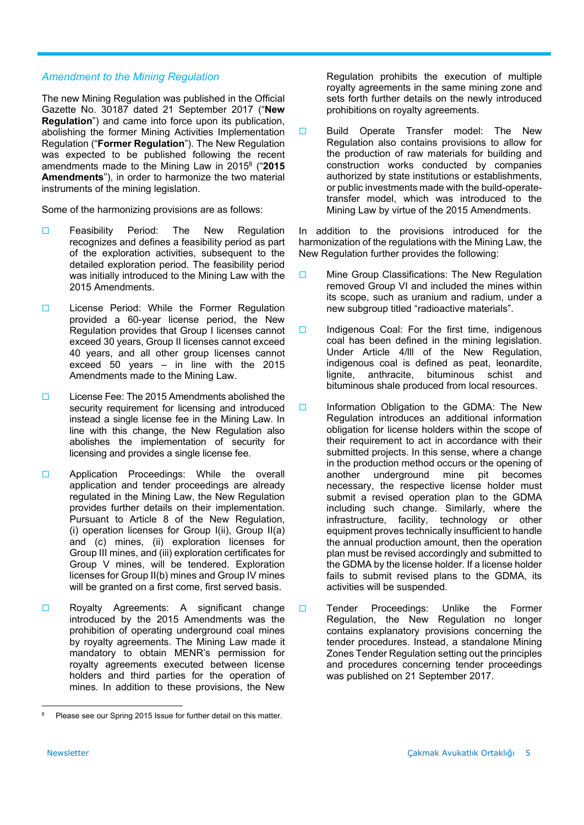#### *Amendment to the Mining Regulation*

The new Mining Regulation was published in the Official Gazette No. 30187 dated 21 September 2017 ("**New Regulation**") and came into force upon its publication, abolishing the former Mining Activities Implementation Regulation ("**Former Regulation**"). The New Regulation was expected to be published following the recent amendments made to the Mining Law in 20158 ("**2015 Amendments**"), in order to harmonize the two material instruments of the mining legislation.

Some of the harmonizing provisions are as follows:

- **E** Feasibility Period: The New Regulation recognizes and defines a feasibility period as part of the exploration activities, subsequent to the detailed exploration period. The feasibility period was initially introduced to the Mining Law with the 2015 Amendments.
- □ License Period: While the Former Regulation provided a 60-year license period, the New Regulation provides that Group I licenses cannot exceed 30 years, Group II licenses cannot exceed 40 years, and all other group licenses cannot exceed 50 years – in line with the 2015 Amendments made to the Mining Law.
- License Fee: The 2015 Amendments abolished the security requirement for licensing and introduced instead a single license fee in the Mining Law. In line with this change, the New Regulation also abolishes the implementation of security for licensing and provides a single license fee.
- **E** Application Proceedings: While the overall application and tender proceedings are already regulated in the Mining Law, the New Regulation provides further details on their implementation. Pursuant to Article 8 of the New Regulation, (i) operation licenses for Group I(ii), Group II(a) and (c) mines, (ii) exploration licenses for Group III mines, and (iii) exploration certificates for Group V mines, will be tendered. Exploration licenses for Group II(b) mines and Group IV mines will be granted on a first come, first served basis.
- □ Royalty Agreements: A significant change introduced by the 2015 Amendments was the prohibition of operating underground coal mines by royalty agreements. The Mining Law made it mandatory to obtain MENR's permission for royalty agreements executed between license holders and third parties for the operation of mines. In addition to these provisions, the New

Regulation prohibits the execution of multiple royalty agreements in the same mining zone and sets forth further details on the newly introduced prohibitions on royalty agreements.

**Build Operate Transfer model: The New** Regulation also contains provisions to allow for the production of raw materials for building and construction works conducted by companies authorized by state institutions or establishments, or public investments made with the build-operatetransfer model, which was introduced to the Mining Law by virtue of the 2015 Amendments.

In addition to the provisions introduced for the harmonization of the regulations with the Mining Law, the New Regulation further provides the following:

- **D** Mine Group Classifications: The New Regulation removed Group VI and included the mines within its scope, such as uranium and radium, under a new subgroup titled "radioactive materials".
- $\Box$  Indigenous Coal: For the first time, indigenous coal has been defined in the mining legislation. Under Article 4/lll of the New Regulation, indigenous coal is defined as peat, leonardite, lignite, anthracite, bituminous schist and bituminous shale produced from local resources.
- $\Box$  Information Obligation to the GDMA: The New Regulation introduces an additional information obligation for license holders within the scope of their requirement to act in accordance with their submitted projects. In this sense, where a change in the production method occurs or the opening of another underground mine pit becomes necessary, the respective license holder must submit a revised operation plan to the GDMA including such change. Similarly, where the infrastructure, facility, technology or other equipment proves technically insufficient to handle the annual production amount, then the operation plan must be revised accordingly and submitted to the GDMA by the license holder. If a license holder fails to submit revised plans to the GDMA, its activities will be suspended.
- Tender Proceedings: Unlike the Former Regulation, the New Regulation no longer contains explanatory provisions concerning the tender procedures. Instead, a standalone Mining Zones Tender Regulation setting out the principles and procedures concerning tender proceedings was published on 21 September 2017.

 8 Please see our Spring 2015 Issue for further detail on this matter.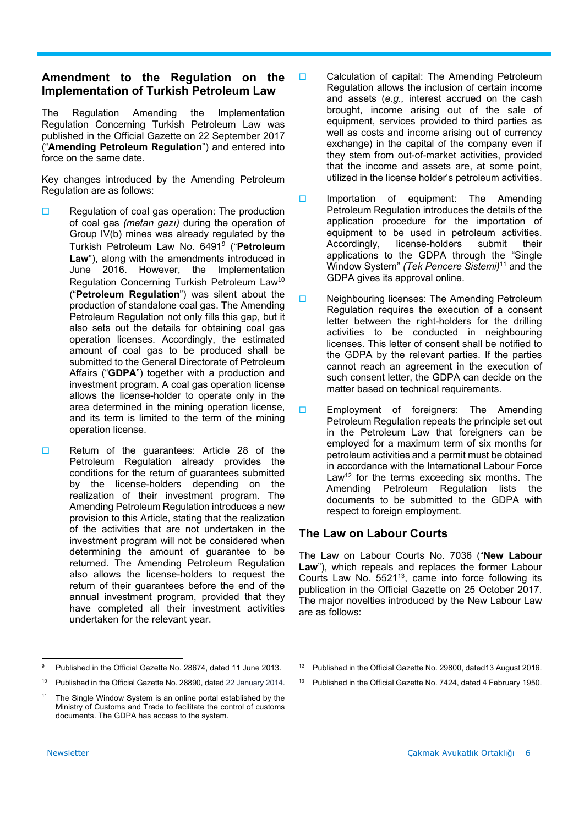#### **Amendment to the Regulation on the Implementation of Turkish Petroleum Law**

The Regulation Amending the Implementation Regulation Concerning Turkish Petroleum Law was published in the Official Gazette on 22 September 2017 ("**Amending Petroleum Regulation**") and entered into force on the same date.

Key changes introduced by the Amending Petroleum Regulation are as follows:

- $\Box$  Regulation of coal gas operation: The production of coal gas *(metan gazı)* during the operation of Group IV(b) mines was already regulated by the Turkish Petroleum Law No. 6491<sup>9</sup> ("**Petroleum**  Law"), along with the amendments introduced in June 2016. However, the Implementation Regulation Concerning Turkish Petroleum Law<sup>10</sup> ("**Petroleum Regulation**") was silent about the production of standalone coal gas. The Amending Petroleum Regulation not only fills this gap, but it also sets out the details for obtaining coal gas operation licenses. Accordingly, the estimated amount of coal gas to be produced shall be submitted to the General Directorate of Petroleum Affairs ("**GDPA**") together with a production and investment program. A coal gas operation license allows the license-holder to operate only in the area determined in the mining operation license, and its term is limited to the term of the mining operation license.
- □ Return of the quarantees: Article 28 of the Petroleum Regulation already provides the conditions for the return of guarantees submitted by the license-holders depending on the realization of their investment program. The Amending Petroleum Regulation introduces a new provision to this Article, stating that the realization of the activities that are not undertaken in the investment program will not be considered when determining the amount of guarantee to be returned. The Amending Petroleum Regulation also allows the license-holders to request the return of their guarantees before the end of the annual investment program, provided that they have completed all their investment activities undertaken for the relevant year.
- □ Calculation of capital: The Amending Petroleum Regulation allows the inclusion of certain income and assets (*e.g.,* interest accrued on the cash brought, income arising out of the sale of equipment, services provided to third parties as well as costs and income arising out of currency exchange) in the capital of the company even if they stem from out-of-market activities, provided that the income and assets are, at some point, utilized in the license holder's petroleum activities.
- $\Box$  Importation of equipment: The Amending Petroleum Regulation introduces the details of the application procedure for the importation of equipment to be used in petroleum activities. Accordingly, license-holders submit their applications to the GDPA through the "Single Window System" *(Tek Pencere Sistemi)*11 and the GDPA gives its approval online.
- □ Neighbouring licenses: The Amending Petroleum Regulation requires the execution of a consent letter between the right-holders for the drilling activities to be conducted in neighbouring licenses. This letter of consent shall be notified to the GDPA by the relevant parties. If the parties cannot reach an agreement in the execution of such consent letter, the GDPA can decide on the matter based on technical requirements.
- $\Box$  Employment of foreigners: The Amending Petroleum Regulation repeats the principle set out in the Petroleum Law that foreigners can be employed for a maximum term of six months for petroleum activities and a permit must be obtained in accordance with the International Labour Force Law<sup>12</sup> for the terms exceeding six months. The Amending Petroleum Regulation lists the documents to be submitted to the GDPA with respect to foreign employment.

#### **The Law on Labour Courts**

The Law on Labour Courts No. 7036 ("**New Labour Law**"), which repeals and replaces the former Labour Courts Law No. 5521<sup>13</sup>, came into force following its publication in the Official Gazette on 25 October 2017. The major novelties introduced by the New Labour Law are as follows:

- <sup>12</sup> Published in the Official Gazette No. 29800, dated 13 August 2016.
- <sup>13</sup> Published in the Official Gazette No. 7424, dated 4 February 1950.

<sup>9</sup> Published in the Official Gazette No. 28674, dated 11 June 2013.

<sup>10</sup> Published in the Official Gazette No. 28890, dated 22 January 2014.

<sup>&</sup>lt;sup>11</sup> The Single Window System is an online portal established by the Ministry of Customs and Trade to facilitate the control of customs documents. The GDPA has access to the system.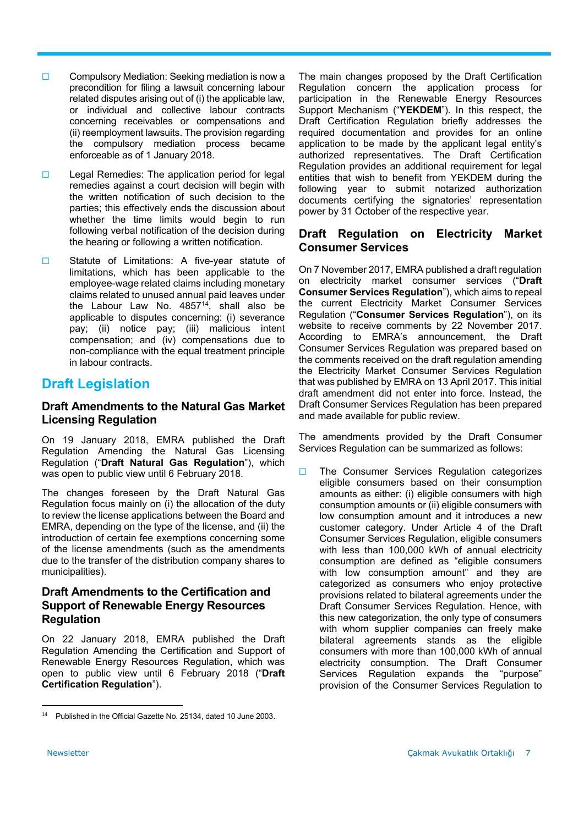- $\square$  Compulsory Mediation: Seeking mediation is now a precondition for filing a lawsuit concerning labour related disputes arising out of (i) the applicable law, or individual and collective labour contracts concerning receivables or compensations and (ii) reemployment lawsuits. The provision regarding the compulsory mediation process became enforceable as of 1 January 2018.
- $\square$  Legal Remedies: The application period for legal remedies against a court decision will begin with the written notification of such decision to the parties; this effectively ends the discussion about whether the time limits would begin to run following verbal notification of the decision during the hearing or following a written notification.
- □ Statute of Limitations: A five-year statute of limitations, which has been applicable to the employee-wage related claims including monetary claims related to unused annual paid leaves under the Labour Law No.  $4857^{14}$ , shall also be applicable to disputes concerning: (i) severance pay; (ii) notice pay; (iii) malicious intent compensation; and (iv) compensations due to non-compliance with the equal treatment principle in labour contracts.

# **Draft Legislation**

#### **Draft Amendments to the Natural Gas Market Licensing Regulation**

On 19 January 2018, EMRA published the Draft Regulation Amending the Natural Gas Licensing Regulation ("**Draft Natural Gas Regulation**"), which was open to public view until 6 February 2018.

The changes foreseen by the Draft Natural Gas Regulation focus mainly on (i) the allocation of the duty to review the license applications between the Board and EMRA, depending on the type of the license, and (ii) the introduction of certain fee exemptions concerning some of the license amendments (such as the amendments due to the transfer of the distribution company shares to municipalities).

#### **Draft Amendments to the Certification and Support of Renewable Energy Resources Regulation**

On 22 January 2018, EMRA published the Draft Regulation Amending the Certification and Support of Renewable Energy Resources Regulation, which was open to public view until 6 February 2018 ("**Draft Certification Regulation**").

The main changes proposed by the Draft Certification Regulation concern the application process for participation in the Renewable Energy Resources Support Mechanism ("**YEKDEM**"). In this respect, the Draft Certification Regulation briefly addresses the required documentation and provides for an online application to be made by the applicant legal entity's authorized representatives. The Draft Certification Regulation provides an additional requirement for legal entities that wish to benefit from YEKDEM during the following year to submit notarized authorization documents certifying the signatories' representation power by 31 October of the respective year.

#### **Draft Regulation on Electricity Market Consumer Services**

On 7 November 2017, EMRA published a draft regulation on electricity market consumer services ("**Draft Consumer Services Regulation**"), which aims to repeal the current Electricity Market Consumer Services Regulation ("**Consumer Services Regulation**"), on its website to receive comments by 22 November 2017. According to EMRA's announcement, the Draft Consumer Services Regulation was prepared based on the comments received on the draft regulation amending the Electricity Market Consumer Services Regulation that was published by EMRA on 13 April 2017. This initial draft amendment did not enter into force. Instead, the Draft Consumer Services Regulation has been prepared and made available for public review.

The amendments provided by the Draft Consumer Services Regulation can be summarized as follows:

 $\Box$  The Consumer Services Regulation categorizes eligible consumers based on their consumption amounts as either: (i) eligible consumers with high consumption amounts or (ii) eligible consumers with low consumption amount and it introduces a new customer category. Under Article 4 of the Draft Consumer Services Regulation, eligible consumers with less than 100,000 kWh of annual electricity consumption are defined as "eligible consumers with low consumption amount" and they are categorized as consumers who enjoy protective provisions related to bilateral agreements under the Draft Consumer Services Regulation. Hence, with this new categorization, the only type of consumers with whom supplier companies can freely make bilateral agreements stands as the eligible consumers with more than 100,000 kWh of annual electricity consumption. The Draft Consumer Services Regulation expands the "purpose" provision of the Consumer Services Regulation to

<sup>&</sup>lt;sup>14</sup> Published in the Official Gazette No. 25134, dated 10 June 2003.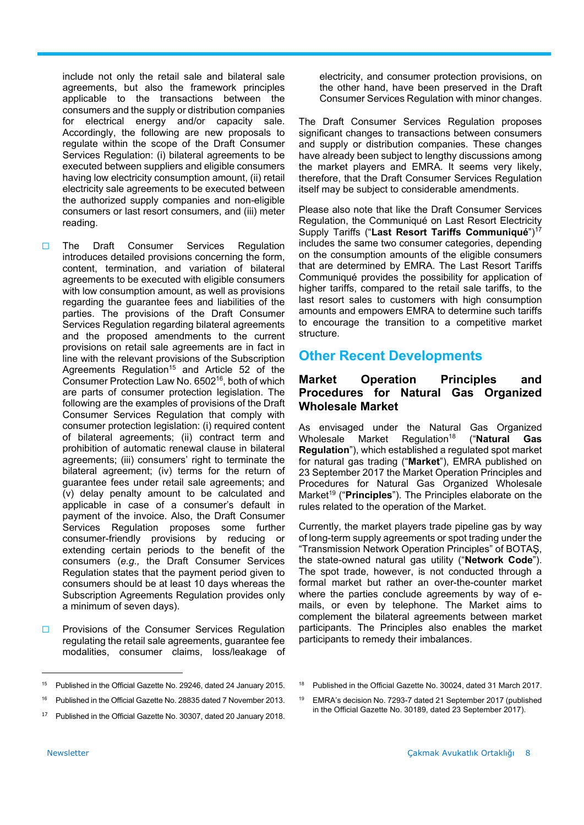include not only the retail sale and bilateral sale agreements, but also the framework principles applicable to the transactions between the consumers and the supply or distribution companies for electrical energy and/or capacity sale. Accordingly, the following are new proposals to regulate within the scope of the Draft Consumer Services Regulation: (i) bilateral agreements to be executed between suppliers and eligible consumers having low electricity consumption amount, (ii) retail electricity sale agreements to be executed between the authorized supply companies and non-eligible consumers or last resort consumers, and (iii) meter reading.

- □ The Draft Consumer Services Regulation introduces detailed provisions concerning the form, content, termination, and variation of bilateral agreements to be executed with eligible consumers with low consumption amount, as well as provisions regarding the guarantee fees and liabilities of the parties. The provisions of the Draft Consumer Services Regulation regarding bilateral agreements and the proposed amendments to the current provisions on retail sale agreements are in fact in line with the relevant provisions of the Subscription Agreements Regulation<sup>15</sup> and Article 52 of the Consumer Protection Law No. 650216, both of which are parts of consumer protection legislation. The following are the examples of provisions of the Draft Consumer Services Regulation that comply with consumer protection legislation: (i) required content of bilateral agreements; (ii) contract term and prohibition of automatic renewal clause in bilateral agreements; (iii) consumers' right to terminate the bilateral agreement; (iv) terms for the return of guarantee fees under retail sale agreements; and (v) delay penalty amount to be calculated and applicable in case of a consumer's default in payment of the invoice. Also, the Draft Consumer Services Regulation proposes some further consumer-friendly provisions by reducing or extending certain periods to the benefit of the consumers (*e.g.,* the Draft Consumer Services Regulation states that the payment period given to consumers should be at least 10 days whereas the Subscription Agreements Regulation provides only a minimum of seven days).
- **Provisions of the Consumer Services Regulation** regulating the retail sale agreements, guarantee fee modalities, consumer claims, loss/leakage of

electricity, and consumer protection provisions, on the other hand, have been preserved in the Draft Consumer Services Regulation with minor changes.

The Draft Consumer Services Regulation proposes significant changes to transactions between consumers and supply or distribution companies. These changes have already been subject to lengthy discussions among the market players and EMRA. It seems very likely, therefore, that the Draft Consumer Services Regulation itself may be subject to considerable amendments.

Please also note that like the Draft Consumer Services Regulation, the Communiqué on Last Resort Electricity Supply Tariffs ("**Last Resort Tariffs Communiqué**")17 includes the same two consumer categories, depending on the consumption amounts of the eligible consumers that are determined by EMRA. The Last Resort Tariffs Communiqué provides the possibility for application of higher tariffs, compared to the retail sale tariffs, to the last resort sales to customers with high consumption amounts and empowers EMRA to determine such tariffs to encourage the transition to a competitive market structure.

# **Other Recent Developments**

#### **Market Operation Principles and Procedures for Natural Gas Organized Wholesale Market**

As envisaged under the Natural Gas Organized Wholesale Market Regulation18 ("**Natural Gas Regulation**"), which established a regulated spot market for natural gas trading ("**Market**"), EMRA published on 23 September 2017 the Market Operation Principles and Procedures for Natural Gas Organized Wholesale Market<sup>19</sup> ("**Principles**"). The Principles elaborate on the rules related to the operation of the Market.

Currently, the market players trade pipeline gas by way of long-term supply agreements or spot trading under the "Transmission Network Operation Principles" of BOTAŞ, the state-owned natural gas utility ("**Network Code**"). The spot trade, however, is not conducted through a formal market but rather an over-the-counter market where the parties conclude agreements by way of emails, or even by telephone. The Market aims to complement the bilateral agreements between market participants. The Principles also enables the market participants to remedy their imbalances.

<sup>15</sup> Published in the Official Gazette No. 29246, dated 24 January 2015.

<sup>16</sup> Published in the Official Gazette No. 28835 dated 7 November 2013.

Published in the Official Gazette No. 30307, dated 20 January 2018.

<sup>19</sup> EMRA's decision No. 7293-7 dated 21 September 2017 (published in the Official Gazette No. 30189, dated 23 September 2017).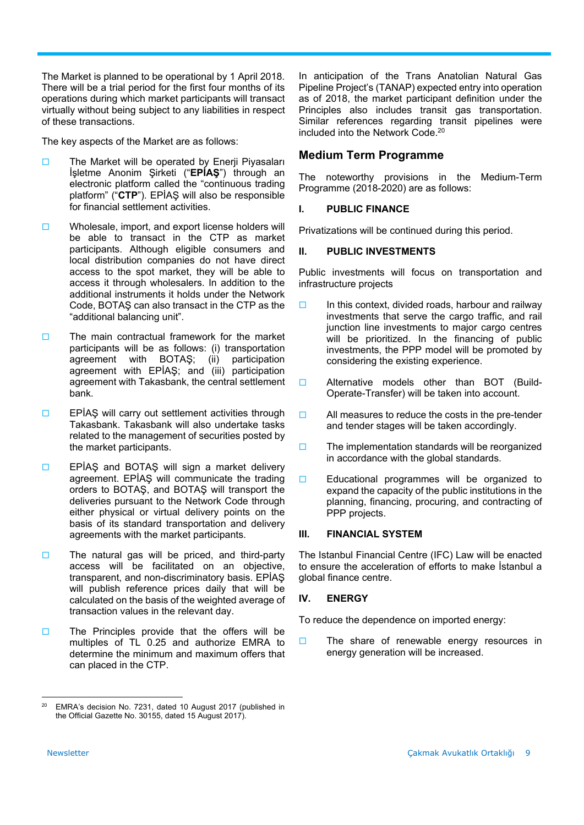The Market is planned to be operational by 1 April 2018. There will be a trial period for the first four months of its operations during which market participants will transact virtually without being subject to any liabilities in respect of these transactions.

The key aspects of the Market are as follows:

- $\Box$  The Market will be operated by Enerji Piyasaları İşletme Anonim Şirketi ("**EPİAŞ**") through an electronic platform called the "continuous trading platform" ("**CTP**"). EPİAŞ will also be responsible for financial settlement activities.
- $\square$  Wholesale, import, and export license holders will be able to transact in the CTP as market participants. Although eligible consumers and local distribution companies do not have direct access to the spot market, they will be able to access it through wholesalers. In addition to the additional instruments it holds under the Network Code, BOTAŞ can also transact in the CTP as the "additional balancing unit".
- $\Box$  The main contractual framework for the market participants will be as follows: (i) transportation agreement with BOTAŞ; (ii) participation agreement with EPİAŞ; and (iii) participation agreement with Takasbank, the central settlement bank.
- $\Box$  EPİAS will carry out settlement activities through Takasbank. Takasbank will also undertake tasks related to the management of securities posted by the market participants.
- $\Box$  EPİAS and BOTAS will sign a market delivery agreement. EPİAŞ will communicate the trading orders to BOTAŞ, and BOTAŞ will transport the deliveries pursuant to the Network Code through either physical or virtual delivery points on the basis of its standard transportation and delivery agreements with the market participants.
- $\square$  The natural gas will be priced, and third-party access will be facilitated on an objective, transparent, and non-discriminatory basis. EPİAŞ will publish reference prices daily that will be calculated on the basis of the weighted average of transaction values in the relevant day.
- $\square$  The Principles provide that the offers will be multiples of TL 0.25 and authorize EMRA to determine the minimum and maximum offers that can placed in the CTP.

In anticipation of the Trans Anatolian Natural Gas Pipeline Project's (TANAP) expected entry into operation as of 2018, the market participant definition under the Principles also includes transit gas transportation. Similar references regarding transit pipelines were included into the Network Code.20

#### **Medium Term Programme**

The noteworthy provisions in the Medium-Term Programme (2018-2020) are as follows:

#### **I. PUBLIC FINANCE**

Privatizations will be continued during this period.

#### **II. PUBLIC INVESTMENTS**

Public investments will focus on transportation and infrastructure projects

- $\Box$  In this context, divided roads, harbour and railway investments that serve the cargo traffic, and rail junction line investments to major cargo centres will be prioritized. In the financing of public investments, the PPP model will be promoted by considering the existing experience.
- □ Alternative models other than BOT (Build-Operate-Transfer) will be taken into account.
- $\Box$  All measures to reduce the costs in the pre-tender and tender stages will be taken accordingly.
- $\Box$  The implementation standards will be reorganized in accordance with the global standards.
- Educational programmes will be organized to expand the capacity of the public institutions in the planning, financing, procuring, and contracting of PPP projects.

#### **III. FINANCIAL SYSTEM**

The Istanbul Financial Centre (IFC) Law will be enacted to ensure the acceleration of efforts to make İstanbul a global finance centre.

#### **IV. ENERGY**

To reduce the dependence on imported energy:

 $\Box$  The share of renewable energy resources in energy generation will be increased.

<sup>&</sup>lt;sup>20</sup> EMRA's decision No. 7231, dated 10 August 2017 (published in the Official Gazette No. 30155, dated 15 August 2017).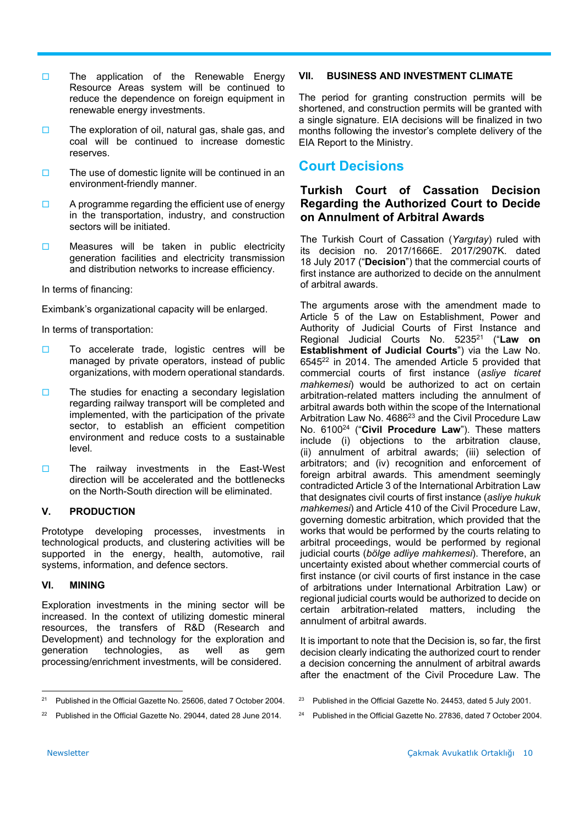- $\Box$  The application of the Renewable Energy Resource Areas system will be continued to reduce the dependence on foreign equipment in renewable energy investments.
- $\square$  The exploration of oil, natural gas, shale gas, and coal will be continued to increase domestic reserves.
- $\square$  The use of domestic lignite will be continued in an environment-friendly manner.
- $\Box$  A programme regarding the efficient use of energy in the transportation, industry, and construction sectors will be initiated.
- $\square$  Measures will be taken in public electricity generation facilities and electricity transmission and distribution networks to increase efficiency.

In terms of financing:

Eximbank's organizational capacity will be enlarged.

In terms of transportation:

- $\square$  To accelerate trade, logistic centres will be managed by private operators, instead of public organizations, with modern operational standards.
- $\square$  The studies for enacting a secondary legislation regarding railway transport will be completed and implemented, with the participation of the private sector, to establish an efficient competition environment and reduce costs to a sustainable level.
- $\square$  The railway investments in the East-West direction will be accelerated and the bottlenecks on the North-South direction will be eliminated.

#### **V. PRODUCTION**

Prototype developing processes, investments in technological products, and clustering activities will be supported in the energy, health, automotive, rail systems, information, and defence sectors.

#### **VI. MINING**

Exploration investments in the mining sector will be increased. In the context of utilizing domestic mineral resources, the transfers of R&D (Research and Development) and technology for the exploration and generation technologies, as well as gem processing/enrichment investments, will be considered.

#### **VII. BUSINESS AND INVESTMENT CLIMATE**

The period for granting construction permits will be shortened, and construction permits will be granted with a single signature. EIA decisions will be finalized in two months following the investor's complete delivery of the EIA Report to the Ministry.

# **Court Decisions**

#### **Turkish Court of Cassation Decision Regarding the Authorized Court to Decide on Annulment of Arbitral Awards**

The Turkish Court of Cassation (*Yargıtay*) ruled with its decision no. 2017/1666E. 2017/2907K. dated 18 July 2017 ("**Decision**") that the commercial courts of first instance are authorized to decide on the annulment of arbitral awards.

The arguments arose with the amendment made to Article 5 of the Law on Establishment, Power and Authority of Judicial Courts of First Instance and Regional Judicial Courts No. 523521 ("**Law on Establishment of Judicial Courts**") via the Law No.  $6545^{22}$  in 2014. The amended Article 5 provided that commercial courts of first instance (*asliye ticaret mahkemesi*) would be authorized to act on certain arbitration-related matters including the annulment of arbitral awards both within the scope of the International Arbitration Law No. 4686<sup>23</sup> and the Civil Procedure Law No. 610024 ("**Civil Procedure Law**"). These matters include (i) objections to the arbitration clause, (ii) annulment of arbitral awards; (iii) selection of arbitrators; and (iv) recognition and enforcement of foreign arbitral awards. This amendment seemingly contradicted Article 3 of the International Arbitration Law that designates civil courts of first instance (*asliye hukuk mahkemesi*) and Article 410 of the Civil Procedure Law, governing domestic arbitration, which provided that the works that would be performed by the courts relating to arbitral proceedings, would be performed by regional judicial courts (*bölge adliye mahkemesi*). Therefore, an uncertainty existed about whether commercial courts of first instance (or civil courts of first instance in the case of arbitrations under International Arbitration Law) or regional judicial courts would be authorized to decide on certain arbitration-related matters, including the annulment of arbitral awards.

It is important to note that the Decision is, so far, the first decision clearly indicating the authorized court to render a decision concerning the annulment of arbitral awards after the enactment of the Civil Procedure Law. The

<sup>24</sup> Published in the Official Gazette No. 27836, dated 7 October 2004.

<sup>21</sup> Published in the Official Gazette No. 25606, dated 7 October 2004.

<sup>&</sup>lt;sup>22</sup> Published in the Official Gazette No. 29044, dated 28 June 2014

<sup>&</sup>lt;sup>23</sup> Published in the Official Gazette No. 24453, dated 5 July 2001.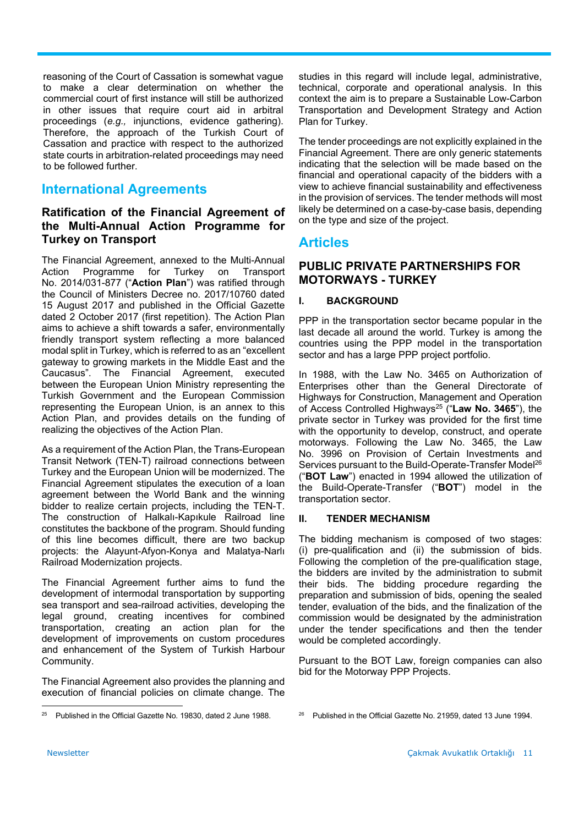reasoning of the Court of Cassation is somewhat vague to make a clear determination on whether the commercial court of first instance will still be authorized in other issues that require court aid in arbitral proceedings (*e.g.,* injunctions, evidence gathering). Therefore, the approach of the Turkish Court of Cassation and practice with respect to the authorized state courts in arbitration-related proceedings may need to be followed further.

# **International Agreements**

#### **Ratification of the Financial Agreement of the Multi-Annual Action Programme for Turkey on Transport**

The Financial Agreement, annexed to the Multi-Annual Action Programme for Turkey on Transport No. 2014/031-877 ("**Action Plan**") was ratified through the Council of Ministers Decree no. 2017/10760 dated 15 August 2017 and published in the Official Gazette dated 2 October 2017 (first repetition). The Action Plan aims to achieve a shift towards a safer, environmentally friendly transport system reflecting a more balanced modal split in Turkey, which is referred to as an "excellent gateway to growing markets in the Middle East and the Caucasus". The Financial Agreement, executed between the European Union Ministry representing the Turkish Government and the European Commission representing the European Union, is an annex to this Action Plan, and provides details on the funding of realizing the objectives of the Action Plan.

As a requirement of the Action Plan, the Trans-European Transit Network (TEN-T) railroad connections between Turkey and the European Union will be modernized. The Financial Agreement stipulates the execution of a loan agreement between the World Bank and the winning bidder to realize certain projects, including the TEN-T. The construction of Halkalı-Kapıkule Railroad line constitutes the backbone of the program. Should funding of this line becomes difficult, there are two backup projects: the Alayunt-Afyon-Konya and Malatya-Narlı Railroad Modernization projects.

The Financial Agreement further aims to fund the development of intermodal transportation by supporting sea transport and sea-railroad activities, developing the legal ground, creating incentives for combined transportation, creating an action plan for the development of improvements on custom procedures and enhancement of the System of Turkish Harbour Community.

The Financial Agreement also provides the planning and execution of financial policies on climate change. The

studies in this regard will include legal, administrative, technical, corporate and operational analysis. In this context the aim is to prepare a Sustainable Low-Carbon Transportation and Development Strategy and Action Plan for Turkey.

The tender proceedings are not explicitly explained in the Financial Agreement. There are only generic statements indicating that the selection will be made based on the financial and operational capacity of the bidders with a view to achieve financial sustainability and effectiveness in the provision of services. The tender methods will most likely be determined on a case-by-case basis, depending on the type and size of the project.

## **Articles**

#### **PUBLIC PRIVATE PARTNERSHIPS FOR MOTORWAYS - TURKEY**

#### **I. BACKGROUND**

PPP in the transportation sector became popular in the last decade all around the world. Turkey is among the countries using the PPP model in the transportation sector and has a large PPP project portfolio.

In 1988, with the Law No. 3465 on Authorization of Enterprises other than the General Directorate of Highways for Construction, Management and Operation of Access Controlled Highways25 ("**Law No. 3465**"), the private sector in Turkey was provided for the first time with the opportunity to develop, construct, and operate motorways. Following the Law No. 3465, the Law No. 3996 on Provision of Certain Investments and Services pursuant to the Build-Operate-Transfer Model<sup>26</sup> ("**BOT Law**") enacted in 1994 allowed the utilization of the Build-Operate-Transfer ("**BOT**") model in the transportation sector.

#### **II. TENDER MECHANISM**

The bidding mechanism is composed of two stages: (i) pre-qualification and (ii) the submission of bids. Following the completion of the pre-qualification stage, the bidders are invited by the administration to submit their bids. The bidding procedure regarding the preparation and submission of bids, opening the sealed tender, evaluation of the bids, and the finalization of the commission would be designated by the administration under the tender specifications and then the tender would be completed accordingly.

Pursuant to the BOT Law, foreign companies can also bid for the Motorway PPP Projects.

<sup>26</sup> Published in the Official Gazette No. 21959, dated 13 June 1994.

  $25$  Published in the Official Gazette No. 19830, dated 2 June 1988.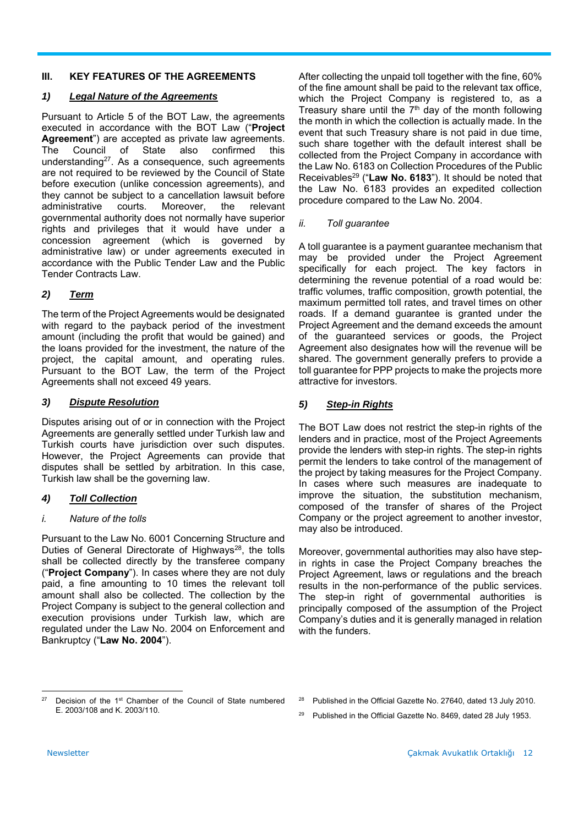#### **III. KEY FEATURES OF THE AGREEMENTS**

#### *1) Legal Nature of the Agreements*

Pursuant to Article 5 of the BOT Law, the agreements executed in accordance with the BOT Law ("**Project Agreement**") are accepted as private law agreements. The Council of State also confirmed this understanding<sup>27</sup>. As a consequence, such agreements are not required to be reviewed by the Council of State before execution (unlike concession agreements), and they cannot be subject to a cancellation lawsuit before administrative courts. Moreover, the relevant governmental authority does not normally have superior rights and privileges that it would have under a concession agreement (which is governed by administrative law) or under agreements executed in accordance with the Public Tender Law and the Public Tender Contracts Law.

#### *2) Term*

The term of the Project Agreements would be designated with regard to the payback period of the investment amount (including the profit that would be gained) and the loans provided for the investment, the nature of the project, the capital amount, and operating rules. Pursuant to the BOT Law, the term of the Project Agreements shall not exceed 49 years.

#### *3) Dispute Resolution*

Disputes arising out of or in connection with the Project Agreements are generally settled under Turkish law and Turkish courts have jurisdiction over such disputes. However, the Project Agreements can provide that disputes shall be settled by arbitration. In this case, Turkish law shall be the governing law.

#### *4) Toll Collection*

#### *i. Nature of the tolls*

Pursuant to the Law No. 6001 Concerning Structure and Duties of General Directorate of Highways<sup>28</sup>, the tolls shall be collected directly by the transferee company ("**Project Company**"). In cases where they are not duly paid, a fine amounting to 10 times the relevant toll amount shall also be collected. The collection by the Project Company is subject to the general collection and execution provisions under Turkish law, which are regulated under the Law No. 2004 on Enforcement and Bankruptcy ("**Law No. 2004**").

After collecting the unpaid toll together with the fine, 60% of the fine amount shall be paid to the relevant tax office, which the Project Company is registered to, as a Treasury share until the  $7<sup>th</sup>$  day of the month following the month in which the collection is actually made. In the event that such Treasury share is not paid in due time, such share together with the default interest shall be collected from the Project Company in accordance with the Law No. 6183 on Collection Procedures of the Public Receivables29 ("**Law No. 6183**"). It should be noted that the Law No. 6183 provides an expedited collection procedure compared to the Law No. 2004.

#### *ii. Toll guarantee*

A toll guarantee is a payment guarantee mechanism that may be provided under the Project Agreement specifically for each project. The key factors in determining the revenue potential of a road would be: traffic volumes, traffic composition, growth potential, the maximum permitted toll rates, and travel times on other roads. If a demand guarantee is granted under the Project Agreement and the demand exceeds the amount of the guaranteed services or goods, the Project Agreement also designates how will the revenue will be shared. The government generally prefers to provide a toll guarantee for PPP projects to make the projects more attractive for investors.

#### *5) Step-in Rights*

The BOT Law does not restrict the step-in rights of the lenders and in practice, most of the Project Agreements provide the lenders with step-in rights. The step-in rights permit the lenders to take control of the management of the project by taking measures for the Project Company. In cases where such measures are inadequate to improve the situation, the substitution mechanism, composed of the transfer of shares of the Project Company or the project agreement to another investor, may also be introduced.

Moreover, governmental authorities may also have stepin rights in case the Project Company breaches the Project Agreement, laws or regulations and the breach results in the non-performance of the public services. The step-in right of governmental authorities is principally composed of the assumption of the Project Company's duties and it is generally managed in relation with the funders

 Decision of the 1<sup>st</sup> Chamber of the Council of State numbered E. 2003/108 and K. 2003/110.

<sup>&</sup>lt;sup>28</sup> Published in the Official Gazette No. 27640, dated 13 July 2010.

<sup>&</sup>lt;sup>29</sup> Published in the Official Gazette No. 8469, dated 28 July 1953.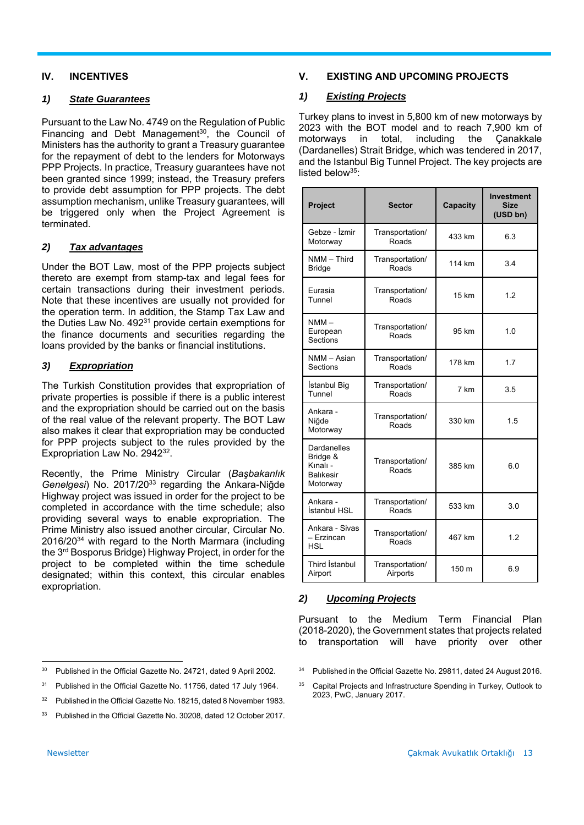#### **IV. INCENTIVES**

#### *1) State Guarantees*

Pursuant to the Law No. 4749 on the Regulation of Public Financing and Debt Management $30$ , the Council of Ministers has the authority to grant a Treasury guarantee for the repayment of debt to the lenders for Motorways PPP Projects. In practice, Treasury guarantees have not been granted since 1999; instead, the Treasury prefers to provide debt assumption for PPP projects. The debt assumption mechanism, unlike Treasury guarantees, will be triggered only when the Project Agreement is terminated.

#### *2) Tax advantages*

Under the BOT Law, most of the PPP projects subject thereto are exempt from stamp-tax and legal fees for certain transactions during their investment periods. Note that these incentives are usually not provided for the operation term. In addition, the Stamp Tax Law and the Duties Law No. 492<sup>31</sup> provide certain exemptions for the finance documents and securities regarding the loans provided by the banks or financial institutions.

#### *3) Expropriation*

The Turkish Constitution provides that expropriation of private properties is possible if there is a public interest and the expropriation should be carried out on the basis of the real value of the relevant property. The BOT Law also makes it clear that expropriation may be conducted for PPP projects subject to the rules provided by the Expropriation Law No. 2942<sup>32</sup>.

Recently, the Prime Ministry Circular (*Başbakanlık Genelgesi*) No. 2017/2033 regarding the Ankara-Niğde Highway project was issued in order for the project to be completed in accordance with the time schedule; also providing several ways to enable expropriation. The Prime Ministry also issued another circular, Circular No. 2016/2034 with regard to the North Marmara (including the 3rd Bosporus Bridge) Highway Project, in order for the project to be completed within the time schedule designated; within this context, this circular enables expropriation.

#### **V. EXISTING AND UPCOMING PROJECTS**

#### *1) Existing Projects*

Turkey plans to invest in 5,800 km of new motorways by 2023 with the BOT model and to reach 7,900 km of motorways in total, including the (Dardanelles) Strait Bridge, which was tendered in 2017, and the Istanbul Big Tunnel Project. The key projects are listed below $35$ :

| Project                                                             | <b>Sector</b>               | Capacity | <b>Investment</b><br><b>Size</b><br>(USD bn) |
|---------------------------------------------------------------------|-----------------------------|----------|----------------------------------------------|
| Gebze - İzmir<br>Motorway                                           | Transportation/<br>Roads    | 433 km   | 6.3                                          |
| NMM - Third<br><b>Bridge</b>                                        | Transportation/<br>Roads    | 114 km   | 3.4                                          |
| Eurasia<br>Tunnel                                                   | Transportation/<br>Roads    | 15 km    | 1.2                                          |
| $NMM -$<br>European<br>Sections                                     | Transportation/<br>Roads    | 95 km    | 1.0                                          |
| NMM - Asian<br>Sections                                             | Transportation/<br>Roads    | 178 km   | 1.7                                          |
| İstanbul Big<br>Tunnel                                              | Transportation/<br>Roads    | 7 km     | 3.5                                          |
| Ankara -<br>Niğde<br>Motorway                                       | Transportation/<br>Roads    | 330 km   | 1.5                                          |
| Dardanelles<br>Bridge &<br>Kınalı -<br><b>Balikesir</b><br>Motorway | Transportation/<br>Roads    | 385 km   | 6.0                                          |
| Ankara -<br>İstanbul HSL                                            | Transportation/<br>Roads    | 533 km   | 3.0                                          |
| Ankara - Sivas<br>- Erzincan<br><b>HSL</b>                          | Transportation/<br>Roads    | 467 km   | 1.2                                          |
| Third Istanbul<br>Airport                                           | Transportation/<br>Airports | 150 m    | 6.9                                          |

#### *2) Upcoming Projects*

Pursuant to the Medium Term Financial Plan (2018-2020), the Government states that projects related to transportation will have priority over other

 <sup>30</sup> Published in the Official Gazette No. 24721, dated 9 April 2002.

<sup>&</sup>lt;sup>31</sup> Published in the Official Gazette No. 11756, dated 17 July 1964.

<sup>&</sup>lt;sup>32</sup> Published in the Official Gazette No. 18215, dated 8 November 1983.

<sup>&</sup>lt;sup>33</sup> Published in the Official Gazette No. 30208, dated 12 October 2017.

<sup>&</sup>lt;sup>34</sup> Published in the Official Gazette No. 29811, dated 24 August 2016.

<sup>&</sup>lt;sup>35</sup> Capital Projects and Infrastructure Spending in Turkey, Outlook to 2023, PwC, January 2017.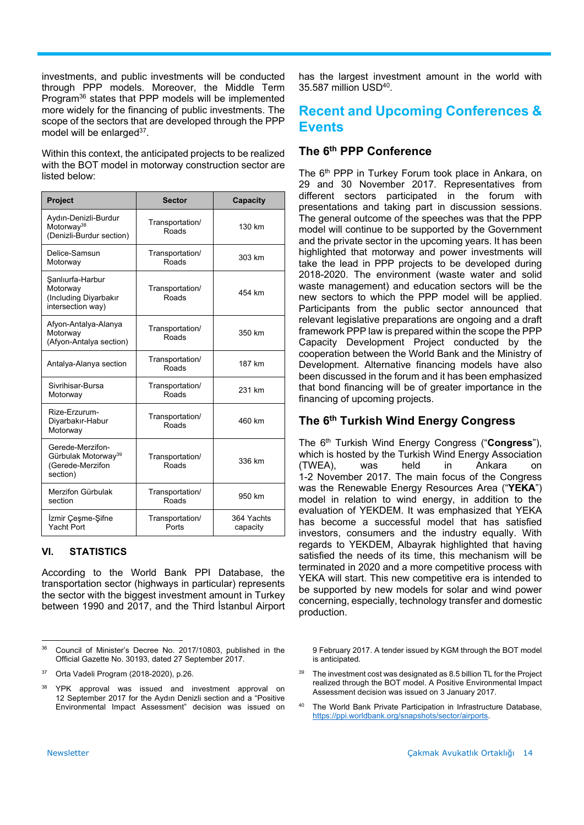investments, and public investments will be conducted through PPP models. Moreover, the Middle Term Program36 states that PPP models will be implemented more widely for the financing of public investments. The scope of the sectors that are developed through the PPP model will be enlarged<sup>37</sup>.

Within this context, the anticipated projects to be realized with the BOT model in motorway construction sector are listed below:

| Project                                                                             | <b>Sector</b>            | Capacity               |
|-------------------------------------------------------------------------------------|--------------------------|------------------------|
| Aydın-Denizli-Burdur<br>Motorway <sup>38</sup><br>(Denizli-Burdur section)          | Transportation/<br>Roads | 130 km                 |
| Delice-Samsun<br>Motorway                                                           | Transportation/<br>Roads | 303 km                 |
| Şanlıurfa-Harbur<br>Motorway<br>(Including Diyarbakır<br>intersection way)          | Transportation/<br>Roads | 454 km                 |
| Afyon-Antalya-Alanya<br>Motorway<br>(Afyon-Antalya section)                         | Transportation/<br>Roads | 350 km                 |
| Antalya-Alanya section                                                              | Transportation/<br>Roads | 187 km                 |
| Sivrihisar-Bursa<br>Motorway                                                        | Transportation/<br>Roads | 231 km                 |
| Rize-Erzurum-<br>Diyarbakır-Habur<br>Motorway                                       | Transportation/<br>Roads | 460 km                 |
| Gerede-Merzifon-<br>Gürbulak Motorway <sup>39</sup><br>(Gerede-Merzifon<br>section) | Transportation/<br>Roads | 336 km                 |
| Merzifon Gürbulak<br>section                                                        | Transportation/<br>Roads | 950 km                 |
| Izmir Çeşme-Şifne<br>Yacht Port                                                     | Transportation/<br>Ports | 364 Yachts<br>capacity |

#### **VI. STATISTICS**

According to the World Bank PPI Database, the transportation sector (highways in particular) represents the sector with the biggest investment amount in Turkey between 1990 and 2017, and the Third İstanbul Airport

has the largest investment amount in the world with 35.587 million USD40.

# **Recent and Upcoming Conferences & Events**

#### **The 6th PPP Conference**

The 6<sup>th</sup> PPP in Turkey Forum took place in Ankara, on 29 and 30 November 2017. Representatives from different sectors participated in the forum with presentations and taking part in discussion sessions. The general outcome of the speeches was that the PPP model will continue to be supported by the Government and the private sector in the upcoming years. It has been highlighted that motorway and power investments will take the lead in PPP projects to be developed during 2018-2020. The environment (waste water and solid waste management) and education sectors will be the new sectors to which the PPP model will be applied. Participants from the public sector announced that relevant legislative preparations are ongoing and a draft framework PPP law is prepared within the scope the PPP Capacity Development Project conducted by the cooperation between the World Bank and the Ministry of Development. Alternative financing models have also been discussed in the forum and it has been emphasized that bond financing will be of greater importance in the financing of upcoming projects.

#### **The 6th Turkish Wind Energy Congress**

The 6th Turkish Wind Energy Congress ("**Congress**"), which is hosted by the Turkish Wind Energy Association (TWEA), was held in Ankara on 1-2 November 2017. The main focus of the Congress was the Renewable Energy Resources Area ("**YEKA**") model in relation to wind energy, in addition to the evaluation of YEKDEM. It was emphasized that YEKA has become a successful model that has satisfied investors, consumers and the industry equally. With regards to YEKDEM, Albayrak highlighted that having satisfied the needs of its time, this mechanism will be terminated in 2020 and a more competitive process with YEKA will start. This new competitive era is intended to be supported by new models for solar and wind power concerning, especially, technology transfer and domestic production.

9 February 2017. A tender issued by KGM through the BOT model is anticipated.

- $39$  The investment cost was designated as 8.5 billion TL for the Project realized through the BOT model. A Positive Environmental Impact Assessment decision was issued on 3 January 2017.
- 40 The World Bank Private Participation in Infrastructure Database, https://ppi.worldbank.org/snapshots/sector/airports.

 36 Council of Minister's Decree No. 2017/10803, published in the Official Gazette No. 30193, dated 27 September 2017.

<sup>37</sup> Orta Vadeli Program (2018-2020), p.26.

<sup>38</sup> YPK approval was issued and investment approval on 12 September 2017 for the Aydın Denizli section and a "Positive Environmental Impact Assessment" decision was issued on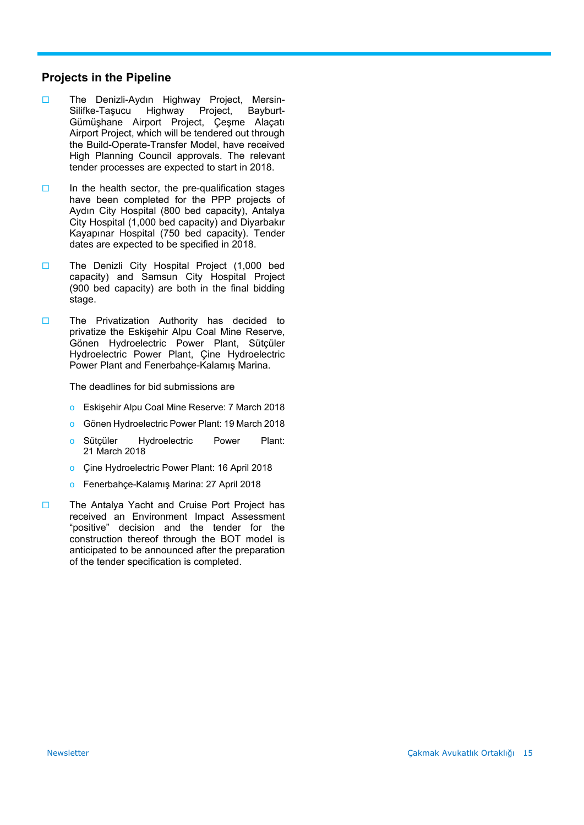#### **Projects in the Pipeline**

- The Denizli-Aydın Highway Project, Mersin-Silifke-Taşucu Highway Project, Bayburt-Gümüşhane Airport Project, Çeşme Alaçatı Airport Project, which will be tendered out through the Build-Operate-Transfer Model, have received High Planning Council approvals. The relevant tender processes are expected to start in 2018.
- $\Box$  In the health sector, the pre-qualification stages have been completed for the PPP projects of Aydın City Hospital (800 bed capacity), Antalya City Hospital (1,000 bed capacity) and Diyarbakır Kayapınar Hospital (750 bed capacity). Tender dates are expected to be specified in 2018.
- The Denizli City Hospital Project (1,000 bed capacity) and Samsun City Hospital Project (900 bed capacity) are both in the final bidding stage.
- The Privatization Authority has decided to privatize the Eskişehir Alpu Coal Mine Reserve, Gönen Hydroelectric Power Plant, Sütçüler Hydroelectric Power Plant, Çine Hydroelectric Power Plant and Fenerbahçe-Kalamış Marina.

The deadlines for bid submissions are

- o Eskişehir Alpu Coal Mine Reserve: 7 March 2018
- Gönen Hydroelectric Power Plant: 19 March 2018
- o Sütçüler Hydroelectric Power Plant: 21 March 2018
- o Çine Hydroelectric Power Plant: 16 April 2018
- o Fenerbahçe-Kalamış Marina: 27 April 2018
- □ The Antalya Yacht and Cruise Port Project has received an Environment Impact Assessment "positive" decision and the tender for the construction thereof through the BOT model is anticipated to be announced after the preparation of the tender specification is completed.